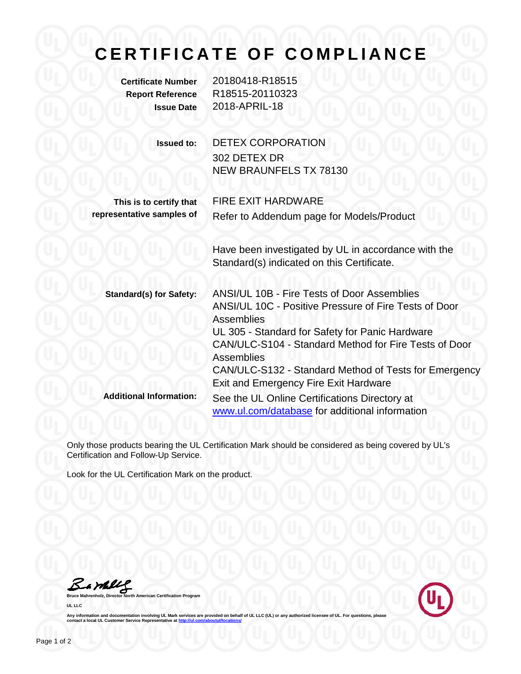## **CERTIFICATE OF COMPLIANCE**

**Certificate Number** 20180418-R18515 **Report Reference** R18515-20110323 **Issue Date** 2018-APRIL-18

| <b>Issued to:</b> | <b>DETEX CORPORATION</b> |
|-------------------|--------------------------|
|                   | 302 DETEX DR             |
|                   | NEW BRAUNFELS TX 78130   |

FIRE EXIT HARDWARE

**This is to certify that representative samples of**

Refer to Addendum page for Models/Product

Have been investigated by UL in accordance with the Standard(s) indicated on this Certificate.

| <b>Standard(s) for Safety:</b> | ANSI/UL 10B - Fire Tests of Door Assemblies           |
|--------------------------------|-------------------------------------------------------|
|                                | ANSI/UL 10C - Positive Pressure of Fire Tests of Door |
|                                | <b>Assemblies</b>                                     |
|                                | UL 305 - Standard for Safety for Panic Hardware       |
|                                | CAN/ULC-S104 - Standard Method for Fire Tests of Door |
|                                | <b>Assemblies</b>                                     |
|                                | CAN/ULC-S132 - Standard Method of Tests for Emergency |
|                                | <b>Exit and Emergency Fire Exit Hardware</b>          |
| <b>Additional Information:</b> | See the UL Online Certifications Directory at         |
|                                | www.ul.com/database for additional information        |

Only those products bearing the UL Certification Mark should be considered as being covered by UL's Certification and Follow-Up Service.

Look for the UL Certification Mark on the product.

Barkey

**Bruce Mahrenholz, Director North American Certification Program UL LLC**



**Any information and documentation involving UL Mark services are provided on behalf of UL LLC (UL) or any authorized licensee of UL. For questions, please Any information and documentation in<br>contact a local UL Customer Service** *R*